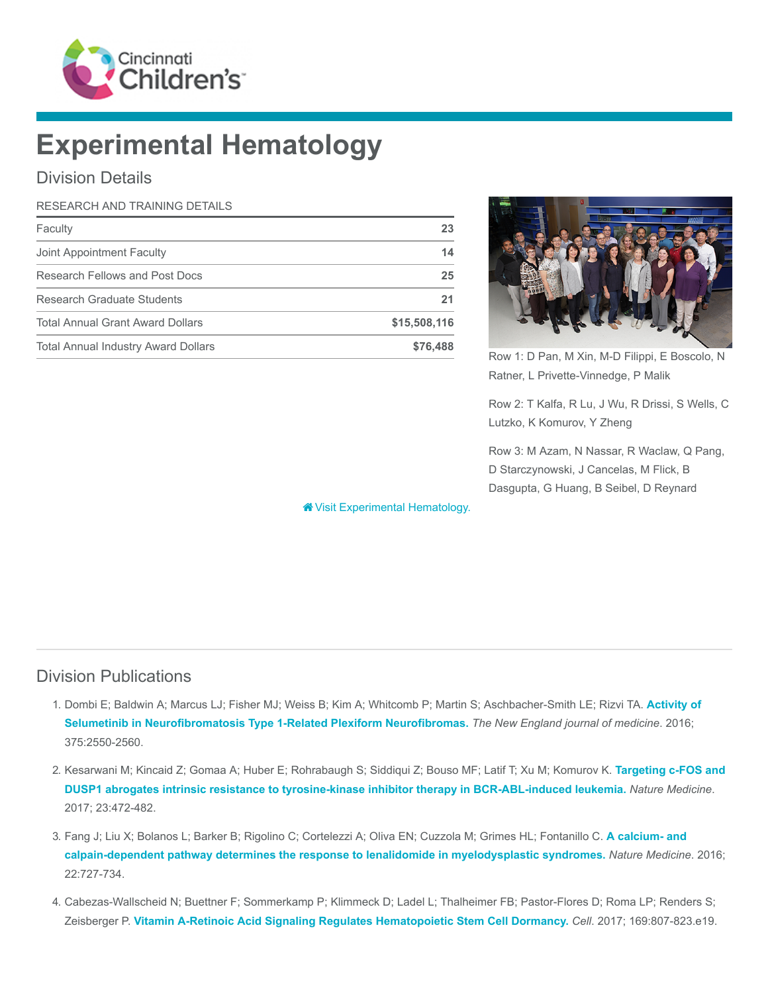

# Experimental Hematology

## Division Details

#### RESEARCH AND TRAINING DETAILS

| Faculty                                    | 23           |
|--------------------------------------------|--------------|
| Joint Appointment Faculty                  | 14           |
| Research Fellows and Post Docs             | 25           |
| Research Graduate Students                 | 21           |
| <b>Total Annual Grant Award Dollars</b>    | \$15,508,116 |
| <b>Total Annual Industry Award Dollars</b> | \$76,488     |



Row 1: D Pan, M Xin, M-D Filippi, E Boscolo, N Ratner, L Privette-Vinnedge, P Malik

Row 2: T Kalfa, R Lu, J Wu, R Drissi, S Wells, C Lutzko, K Komurov, Y Zheng

Row 3: M Azam, N Nassar, R Waclaw, Q Pang, D Starczynowski, J Cancelas, M Flick, B Dasgupta, G Huang, B Seibel, D Reynard

**W** [Visit Experimental Hematology.](https://www.cincinnatichildrens.org/research/divisions/e/ex-hem)

### Division Publications

- 1. [Dombi E; Baldwin A; Marcus LJ; Fisher MJ; Weiss B; Kim A; Whitcomb P; Martin S; Aschbacher-Smith LE; Rizvi TA.](https://www.ncbi.nlm.nih.gov/pubmed/28029918) Activity of Selumetinib in Neurofibromatosis Type 1-Related Plexiform Neurofibromas. The New England journal of medicine. 2016; 375:2550-2560.
- 2. [Kesarwani M; Kincaid Z; Gomaa A; Huber E; Rohrabaugh S; Siddiqui Z; Bouso MF; Latif T; Xu M; Komurov K.](https://www.ncbi.nlm.nih.gov/pubmed/28319094) Targeting c-FOS and DUSP1 abrogates intrinsic resistance to tyrosine-kinase inhibitor therapy in BCR-ABL-induced leukemia. Nature Medicine. 2017; 23:472-482.
- 3. [Fang J; Liu X; Bolanos L; Barker B; Rigolino C; Cortelezzi A; Oliva EN; Cuzzola M; Grimes HL; Fontanillo C.](https://www.ncbi.nlm.nih.gov/pubmed/27294874) A calcium- and calpain-dependent pathway determines the response to lenalidomide in myelodysplastic syndromes. Nature Medicine. 2016; 22:727-734.
- 4. Cabezas-Wallscheid N; Buettner F; Sommerkamp P; Klimmeck D; Ladel L; Thalheimer FB; Pastor-Flores D; Roma LP; Renders S; Zeisberger P. [Vitamin A-Retinoic Acid Signaling Regulates Hematopoietic Stem Cell Dormancy.](https://www.ncbi.nlm.nih.gov/pubmed/28479188) Cell. 2017; 169:807-823.e19.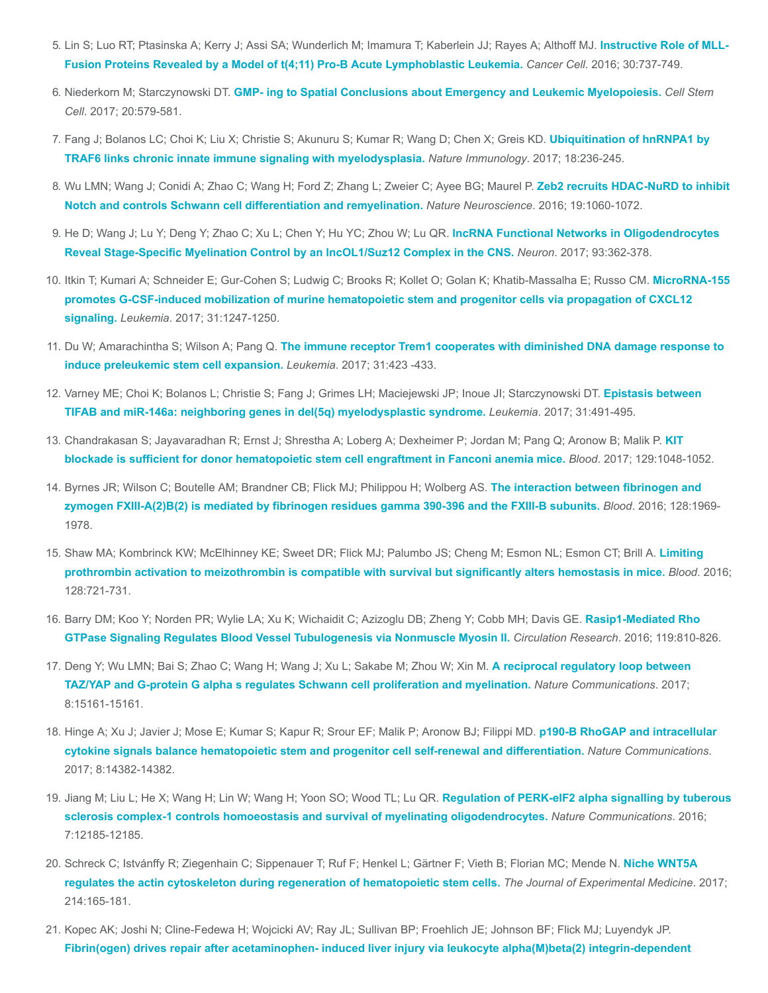- 5. [Lin S; Luo RT; Ptasinska A; Kerry J; Assi SA; Wunderlich M; Imamura T; Kaberlein JJ; Rayes A; Althoff MJ.](https://www.ncbi.nlm.nih.gov/pubmed/27846391) Instructive Role of MLL-Fusion Proteins Revealed by a Model of t(4;11) Pro-B Acute Lymphoblastic Leukemia. Cancer Cell. 2016; 30:737-749.
- 6. Niederkorn M; Starczynowski DT. [GMP- ing to Spatial Conclusions about Emergency and Leukemic Myelopoiesis.](https://www.ncbi.nlm.nih.gov/pubmed/28475879) Cell Stem Cell. 2017; 20:579-581.
- 7. [Fang J; Bolanos LC; Choi K; Liu X; Christie S; Akunuru S; Kumar R; Wang D; Chen X; Greis KD.](https://www.ncbi.nlm.nih.gov/pubmed/28024152) Ubiquitination of hnRNPA1 by TRAF6 links chronic innate immune signaling with myelodysplasia. Nature Immunology. 2017; 18:236-245.
- 8. [Wu LMN; Wang J; Conidi A; Zhao C; Wang H; Ford Z; Zhang L; Zweier C; Ayee BG; Maurel P.](https://www.ncbi.nlm.nih.gov/pubmed/27294509) Zeb2 recruits HDAC-NuRD to inhibit Notch and controls Schwann cell differentiation and remyelination. Nature Neuroscience. 2016; 19:1060-1072.
- 9. [He D; Wang J; Lu Y; Deng Y; Zhao C; Xu L; Chen Y; Hu YC; Zhou W; Lu QR.](https://www.ncbi.nlm.nih.gov/pubmed/28041882) IncRNA Functional Networks in Oligodendrocytes Reveal Stage-Specific Myelination Control by an lncOL1/Suz12 Complex in the CNS. Neuron. 2017; 93:362-378.
- 10. [Itkin T; Kumari A; Schneider E; Gur-Cohen S; Ludwig C; Brooks R; Kollet O; Golan K; Khatib-Massalha E; Russo CM.](https://www.ncbi.nlm.nih.gov/pubmed/28174416) MicroRNA-155 promotes G-CSF-induced mobilization of murine hematopoietic stem and progenitor cells via propagation of CXCL12 signaling. Leukemia. 2017; 31:1247-1250.
- 11. Du W; Amarachintha S; Wilson A; Pang Q. [The immune receptor Trem1 cooperates with diminished DNA damage response to](https://www.ncbi.nlm.nih.gov/pubmed/27568523) induce preleukemic stem cell expansion. Leukemia. 2017; 31:423 -433.
- 12. [Varney ME; Choi K; Bolanos L; Christie S; Fang J; Grimes LH; Maciejewski JP; Inoue JI; Starczynowski DT.](https://www.ncbi.nlm.nih.gov/pubmed/27733775) Epistasis between TIFAB and miR-146a: neighboring genes in del(5q) myelodysplastic syndrome. Leukemia. 2017; 31:491-495.
- 13. [Chandrakasan S; Jayavaradhan R; Ernst J; Shrestha A; Loberg A; Dexheimer P; Jordan M; Pang Q; Aronow B; Malik P.](https://www.ncbi.nlm.nih.gov/pubmed/27998889) KIT blockade is sufficient for donor hematopoietic stem cell engraftment in Fanconi anemia mice. Blood. 2017; 129:1048-1052.
- 14. Byrnes JR; Wilson C; Boutelle AM; Brandner CB; Flick MJ; Philippou H; Wolberg AS. The interaction between fibrinogen and [zymogen FXIII-A\(2\)B\(2\) is mediated by fibrinogen residues gamma 390-396 and the FXIII-B subunits.](https://www.ncbi.nlm.nih.gov/pubmed/27561317) Blood. 2016; 128:1969- 1978.
- 15. [Shaw MA; Kombrinck KW; McElhinney KE; Sweet DR; Flick MJ; Palumbo JS; Cheng M; Esmon NL; Esmon CT; Brill A.](https://www.ncbi.nlm.nih.gov/pubmed/27252233) Limiting prothrombin activation to meizothrombin is compatible with survival but significantly alters hemostasis in mice. Blood. 2016; 128:721-731.
- 16. [Barry DM; Koo Y; Norden PR; Wylie LA; Xu K; Wichaidit C; Azizoglu DB; Zheng Y; Cobb MH; Davis GE.](https://www.ncbi.nlm.nih.gov/pubmed/27486147) Rasip1-Mediated Rho GTPase Signaling Regulates Blood Vessel Tubulogenesis via Nonmuscle Myosin II. Circulation Research. 2016; 119:810-826.
- 17. [Deng Y; Wu LMN; Bai S; Zhao C; Wang H; Wang J; Xu L; Sakabe M; Zhou W; Xin M.](https://www.ncbi.nlm.nih.gov/pubmed/28443644) A reciprocal regulatory loop between TAZ/YAP and G-protein G alpha s regulates Schwann cell proliferation and myelination. Nature Communications. 2017; 8:15161-15161.
- 18. [Hinge A; Xu J; Javier J; Mose E; Kumar S; Kapur R; Srour EF; Malik P; Aronow BJ; Filippi MD.](https://www.ncbi.nlm.nih.gov/pubmed/28176763) p190-B RhoGAP and intracellular cytokine signals balance hematopoietic stem and progenitor cell self-renewal and differentiation. Nature Communications. 2017; 8:14382-14382.
- 19. Jiang M; Liu L; He X; Wang H; Lin W; Wang H; Yoon SO; Wood TL; Lu QR. Regulation of PERK-elF2 alpha signalling by tuberous [sclerosis complex-1 controls homoeostasis and survival of myelinating oligodendrocytes.](https://www.ncbi.nlm.nih.gov/pubmed/27416896) Nature Communications. 2016; 7:12185-12185.
- 20. [Schreck C; Istvánffy R; Ziegenhain C; Sippenauer T; Ruf F; Henkel L; Gärtner F; Vieth B; Florian MC; Mende N.](https://www.ncbi.nlm.nih.gov/pubmed/27998927) Niche WNT5A regulates the actin cytoskeleton during regeneration of hematopoietic stem cells. The Journal of Experimental Medicine. 2017; 214:165-181.
- 21. Kopec AK; Joshi N; Cline-Fedewa H; Wojcicki AV; Ray JL; Sullivan BP; Froehlich JE; Johnson BF; Flick MJ; Luyendyk JP. [Fibrin\(ogen\) drives repair after acetaminophen- induced liver injury via leukocyte alpha\(M\)beta\(2\) integrin-dependent](https://www.ncbi.nlm.nih.gov/pubmed/27965156)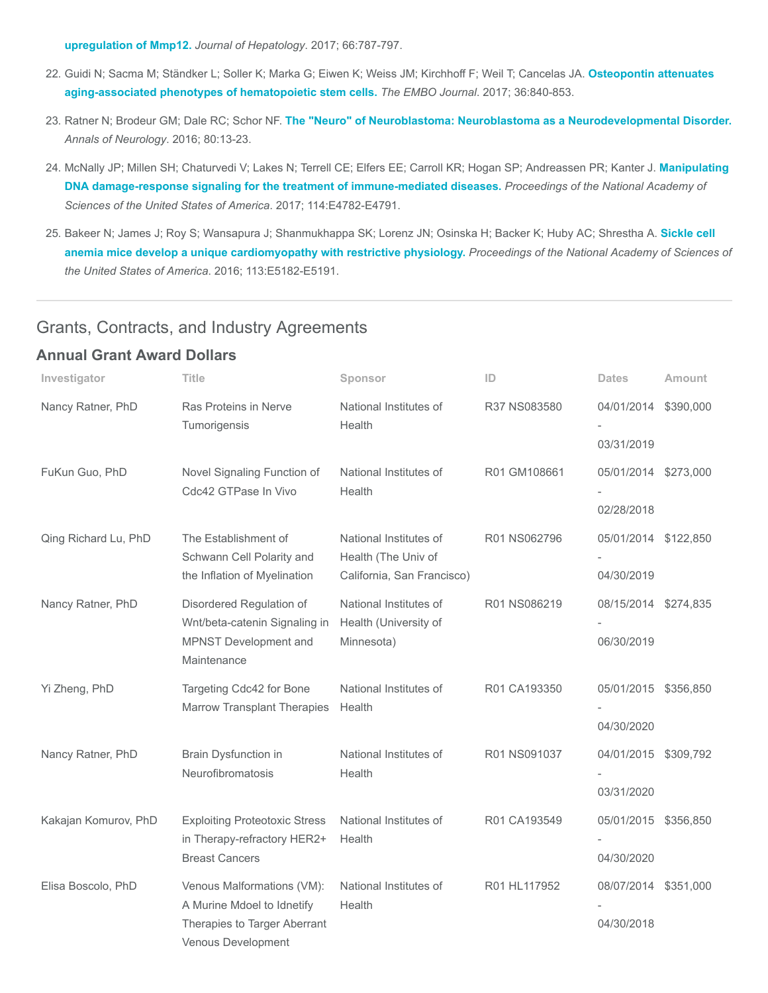[upregulation of Mmp12.](https://www.ncbi.nlm.nih.gov/pubmed/27965156) Journal of Hepatology. 2017; 66:787-797.

- 22. [Guidi N; Sacma M; Ständker L; Soller K; Marka G; Eiwen K; Weiss JM; Kirchhoff F; Weil T; Cancelas JA.](https://www.ncbi.nlm.nih.gov/pubmed/28254837) Osteopontin attenuates aging-associated phenotypes of hematopoietic stem cells. The EMBO Journal. 2017; 36:840-853.
- 23. Ratner N; Brodeur GM; Dale RC; Schor NF. [The "Neuro" of Neuroblastoma: Neuroblastoma as a Neurodevelopmental Disorder.](https://www.ncbi.nlm.nih.gov/pubmed/27043043) Annals of Neurology. 2016; 80:13-23.
- 24. [McNally JP; Millen SH; Chaturvedi V; Lakes N; Terrell CE; Elfers EE; Carroll KR; Hogan SP; Andreassen PR; Kanter J.](https://www.ncbi.nlm.nih.gov/pubmed/28533414) Manipulating DNA damage-response signaling for the treatment of immune-mediated diseases. Proceedings of the National Academy of Sciences of the United States of America. 2017; 114:E4782-E4791.
- 25. [Bakeer N; James J; Roy S; Wansapura J; Shanmukhappa SK; Lorenz JN; Osinska H; Backer K; Huby AC; Shrestha A.](https://www.ncbi.nlm.nih.gov/pubmed/27503873) Sickle cell anemia mice develop a unique cardiomyopathy with restrictive physiology. Proceedings of the National Academy of Sciences of the United States of America. 2016; 113:E5182-E5191.

#### Grants, Contracts, and Industry Agreements

#### Annual Grant Award Dollars

| Investigator         | <b>Title</b>                                                                                                   | Sponsor                                                                     | ID           | <b>Dates</b>                       | Amount    |
|----------------------|----------------------------------------------------------------------------------------------------------------|-----------------------------------------------------------------------------|--------------|------------------------------------|-----------|
| Nancy Ratner, PhD    | Ras Proteins in Nerve<br>Tumorigensis                                                                          | National Institutes of<br>Health                                            | R37 NS083580 | 04/01/2014<br>03/31/2019           | \$390,000 |
| FuKun Guo, PhD       | Novel Signaling Function of<br>Cdc42 GTPase In Vivo                                                            | National Institutes of<br>Health                                            | R01 GM108661 | 05/01/2014 \$273,000<br>02/28/2018 |           |
| Qing Richard Lu, PhD | The Establishment of<br>Schwann Cell Polarity and<br>the Inflation of Myelination                              | National Institutes of<br>Health (The Univ of<br>California, San Francisco) | R01 NS062796 | 05/01/2014 \$122,850<br>04/30/2019 |           |
| Nancy Ratner, PhD    | Disordered Regulation of<br>Wnt/beta-catenin Signaling in<br>MPNST Development and<br>Maintenance              | National Institutes of<br>Health (University of<br>Minnesota)               | R01 NS086219 | 08/15/2014 \$274,835<br>06/30/2019 |           |
| Yi Zheng, PhD        | Targeting Cdc42 for Bone<br><b>Marrow Transplant Therapies</b>                                                 | National Institutes of<br>Health                                            | R01 CA193350 | 05/01/2015 \$356,850<br>04/30/2020 |           |
| Nancy Ratner, PhD    | Brain Dysfunction in<br>Neurofibromatosis                                                                      | National Institutes of<br>Health                                            | R01 NS091037 | 04/01/2015 \$309,792<br>03/31/2020 |           |
| Kakajan Komurov, PhD | <b>Exploiting Proteotoxic Stress</b><br>in Therapy-refractory HER2+<br><b>Breast Cancers</b>                   | National Institutes of<br>Health                                            | R01 CA193549 | 05/01/2015 \$356,850<br>04/30/2020 |           |
| Elisa Boscolo, PhD   | Venous Malformations (VM):<br>A Murine Mdoel to Idnetify<br>Therapies to Targer Aberrant<br>Venous Development | National Institutes of<br>Health                                            | R01 HL117952 | 08/07/2014 \$351,000<br>04/30/2018 |           |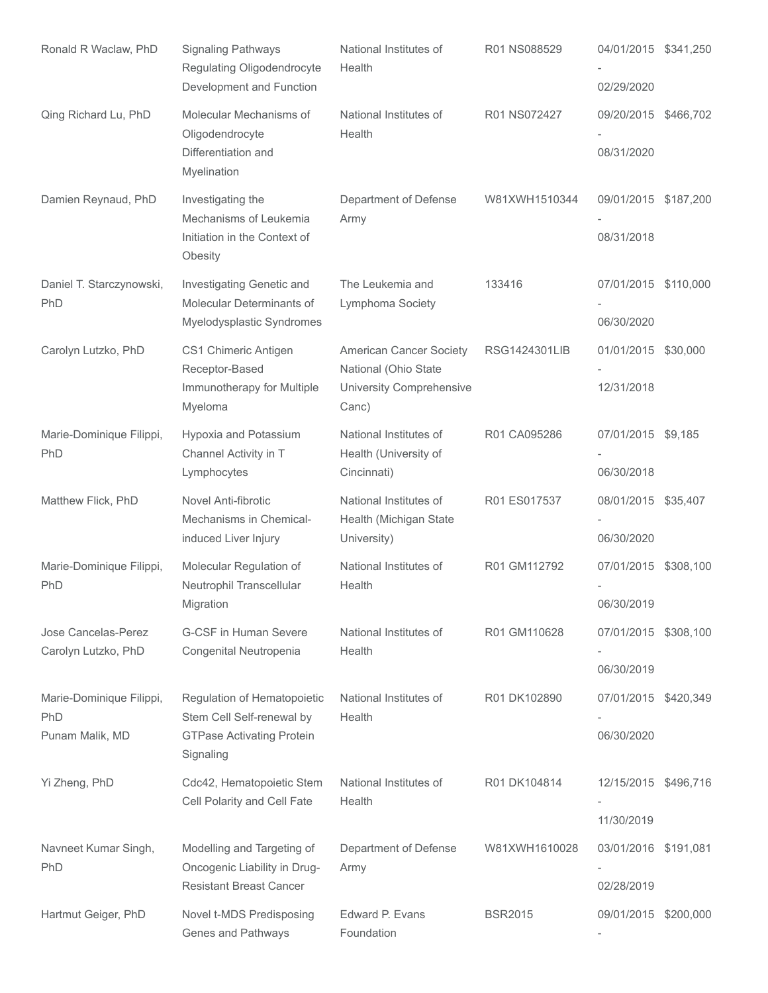| Ronald R Waclaw, PhD                               | <b>Signaling Pathways</b><br>Regulating Oligodendrocyte<br>Development and Function                       | National Institutes of<br>Health                                                     | R01 NS088529         | 04/01/2015 \$341,250<br>02/29/2020 |  |
|----------------------------------------------------|-----------------------------------------------------------------------------------------------------------|--------------------------------------------------------------------------------------|----------------------|------------------------------------|--|
| Qing Richard Lu, PhD                               | Molecular Mechanisms of<br>Oligodendrocyte<br>Differentiation and<br>Myelination                          | National Institutes of<br>Health                                                     | R01 NS072427         | 09/20/2015 \$466,702<br>08/31/2020 |  |
| Damien Reynaud, PhD                                | Investigating the<br>Mechanisms of Leukemia<br>Initiation in the Context of<br>Obesity                    | Department of Defense<br>Army                                                        | W81XWH1510344        | 09/01/2015 \$187,200<br>08/31/2018 |  |
| Daniel T. Starczynowski,<br>PhD                    | Investigating Genetic and<br>Molecular Determinants of<br>Myelodysplastic Syndromes                       | The Leukemia and<br>Lymphoma Society                                                 | 133416               | 07/01/2015 \$110,000<br>06/30/2020 |  |
| Carolyn Lutzko, PhD                                | CS1 Chimeric Antigen<br>Receptor-Based<br>Immunotherapy for Multiple<br>Myeloma                           | American Cancer Society<br>National (Ohio State<br>University Comprehensive<br>Canc) | <b>RSG1424301LIB</b> | 01/01/2015 \$30,000<br>12/31/2018  |  |
| Marie-Dominique Filippi,<br>PhD                    | Hypoxia and Potassium<br>Channel Activity in T<br>Lymphocytes                                             | National Institutes of<br>Health (University of<br>Cincinnati)                       | R01 CA095286         | 07/01/2015 \$9,185<br>06/30/2018   |  |
| Matthew Flick, PhD                                 | Novel Anti-fibrotic<br>Mechanisms in Chemical-<br>induced Liver Injury                                    | National Institutes of<br>Health (Michigan State<br>University)                      | R01 ES017537         | 08/01/2015 \$35,407<br>06/30/2020  |  |
| Marie-Dominique Filippi,<br>PhD                    | Molecular Regulation of<br>Neutrophil Transcellular<br>Migration                                          | National Institutes of<br>Health                                                     | R01 GM112792         | 07/01/2015 \$308,100<br>06/30/2019 |  |
| Jose Cancelas-Perez<br>Carolyn Lutzko, PhD         | G-CSF in Human Severe<br>Congenital Neutropenia                                                           | National Institutes of<br>Health                                                     | R01 GM110628         | 07/01/2015 \$308,100<br>06/30/2019 |  |
| Marie-Dominique Filippi,<br>PhD<br>Punam Malik, MD | Regulation of Hematopoietic<br>Stem Cell Self-renewal by<br><b>GTPase Activating Protein</b><br>Signaling | National Institutes of<br>Health                                                     | R01 DK102890         | 07/01/2015 \$420,349<br>06/30/2020 |  |
| Yi Zheng, PhD                                      | Cdc42, Hematopoietic Stem<br>Cell Polarity and Cell Fate                                                  | National Institutes of<br>Health                                                     | R01 DK104814         | 12/15/2015 \$496,716<br>11/30/2019 |  |
| Navneet Kumar Singh,<br>PhD                        | Modelling and Targeting of<br>Oncogenic Liability in Drug-<br><b>Resistant Breast Cancer</b>              | Department of Defense<br>Army                                                        | W81XWH1610028        | 03/01/2016 \$191,081<br>02/28/2019 |  |
| Hartmut Geiger, PhD                                | Novel t-MDS Predisposing<br>Genes and Pathways                                                            | Edward P. Evans<br>Foundation                                                        | <b>BSR2015</b>       | 09/01/2015 \$200,000               |  |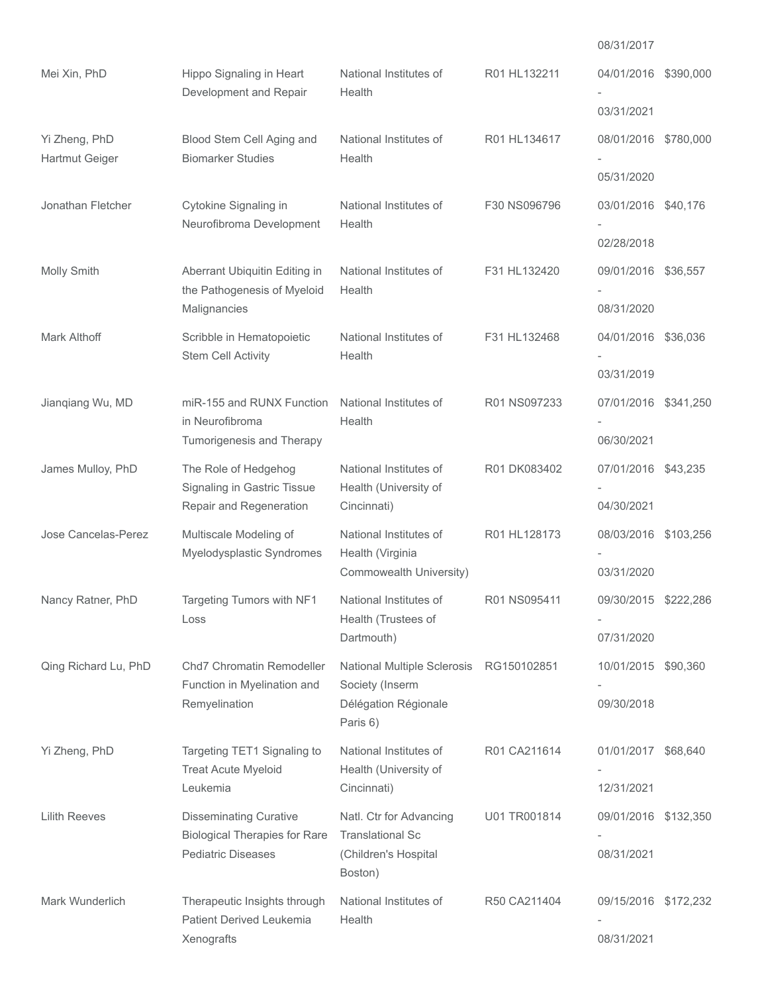|                                 |                                                                                                    |                                                                                                |              | 08/31/2017                        |  |
|---------------------------------|----------------------------------------------------------------------------------------------------|------------------------------------------------------------------------------------------------|--------------|-----------------------------------|--|
| Mei Xin, PhD                    | Hippo Signaling in Heart<br>Development and Repair                                                 | National Institutes of<br>Health                                                               | R01 HL132211 | 04/01/2016 \$390,000              |  |
|                                 |                                                                                                    |                                                                                                |              | 03/31/2021                        |  |
| Yi Zheng, PhD<br>Hartmut Geiger | Blood Stem Cell Aging and<br><b>Biomarker Studies</b>                                              | National Institutes of<br>Health                                                               | R01 HL134617 | 08/01/2016 \$780,000              |  |
|                                 |                                                                                                    |                                                                                                |              | 05/31/2020                        |  |
| Jonathan Fletcher               | Cytokine Signaling in<br>Neurofibroma Development                                                  | National Institutes of<br>Health                                                               | F30 NS096796 | 03/01/2016 \$40.176               |  |
|                                 |                                                                                                    |                                                                                                |              | 02/28/2018                        |  |
| Molly Smith                     | Aberrant Ubiquitin Editing in<br>the Pathogenesis of Myeloid<br>Malignancies                       | National Institutes of<br>Health                                                               | F31 HL132420 | 09/01/2016 \$36,557<br>08/31/2020 |  |
| <b>Mark Althoff</b>             | Scribble in Hematopoietic                                                                          | National Institutes of                                                                         | F31 HL132468 | 04/01/2016 \$36,036               |  |
|                                 | Stem Cell Activity                                                                                 | Health                                                                                         |              | 03/31/2019                        |  |
| Jianqiang Wu, MD                | miR-155 and RUNX Function<br>in Neurofibroma<br>Tumorigenesis and Therapy                          | National Institutes of<br>Health                                                               | R01 NS097233 | 07/01/2016 \$341,250              |  |
|                                 |                                                                                                    |                                                                                                |              | 06/30/2021                        |  |
| James Mulloy, PhD               | The Role of Hedgehog<br>Signaling in Gastric Tissue<br>Repair and Regeneration                     | National Institutes of<br>Health (University of<br>Cincinnati)                                 | R01 DK083402 | 07/01/2016 \$43,235               |  |
|                                 |                                                                                                    |                                                                                                |              | 04/30/2021                        |  |
| Jose Cancelas-Perez             | Multiscale Modeling of<br>Myelodysplastic Syndromes                                                | National Institutes of<br>Health (Virginia                                                     | R01 HL128173 | 08/03/2016 \$103,256              |  |
|                                 |                                                                                                    | Commowealth University)                                                                        |              | 03/31/2020                        |  |
| Nancy Ratner, PhD               | Targeting Tumors with NF1<br>Loss                                                                  | National Institutes of<br>Health (Trustees of                                                  | R01 NS095411 | 09/30/2015 \$222,286              |  |
|                                 |                                                                                                    | Dartmouth)                                                                                     |              | 07/31/2020                        |  |
| Qing Richard Lu, PhD            | Chd7 Chromatin Remodeller<br>Function in Myelination and<br>Remyelination                          | National Multiple Sclerosis RG150102851<br>Society (Inserm<br>Délégation Régionale<br>Paris 6) |              | 10/01/2015 \$90,360               |  |
|                                 |                                                                                                    |                                                                                                |              | 09/30/2018                        |  |
| Yi Zheng, PhD                   | Targeting TET1 Signaling to<br><b>Treat Acute Myeloid</b><br>Leukemia                              | National Institutes of<br>Health (University of<br>Cincinnati)                                 | R01 CA211614 | 01/01/2017 \$68,640               |  |
|                                 |                                                                                                    |                                                                                                |              | 12/31/2021                        |  |
| <b>Lilith Reeves</b>            | <b>Disseminating Curative</b><br><b>Biological Therapies for Rare</b><br><b>Pediatric Diseases</b> | Natl. Ctr for Advancing<br><b>Translational Sc</b><br>(Children's Hospital<br>Boston)          | U01 TR001814 | 09/01/2016 \$132,350              |  |
|                                 |                                                                                                    |                                                                                                |              | 08/31/2021                        |  |
| Mark Wunderlich                 | Therapeutic Insights through<br>Patient Derived Leukemia                                           | National Institutes of<br>Health                                                               | R50 CA211404 | 09/15/2016 \$172,232              |  |
|                                 | Xenografts                                                                                         |                                                                                                |              | 08/31/2021                        |  |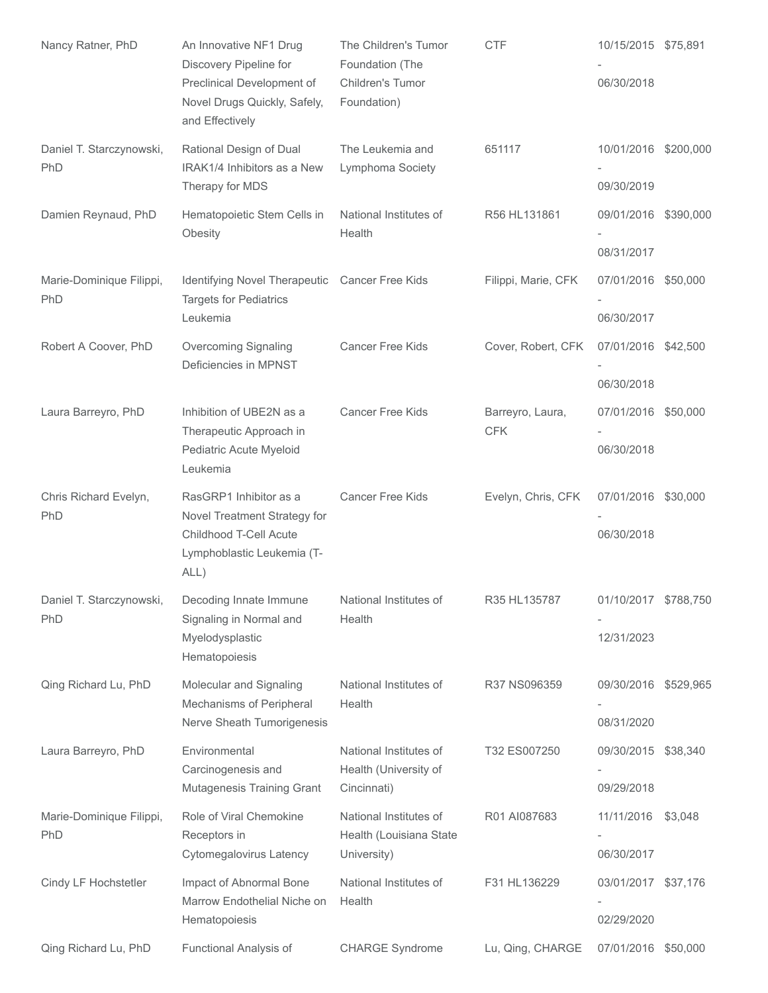| Nancy Ratner, PhD               | An Innovative NF1 Drug<br>Discovery Pipeline for<br>Preclinical Development of<br>Novel Drugs Quickly, Safely,<br>and Effectively | The Children's Tumor<br>Foundation (The<br>Children's Tumor<br>Foundation) | <b>CTF</b>                     | 10/15/2015 \$75,891<br>06/30/2018  |          |
|---------------------------------|-----------------------------------------------------------------------------------------------------------------------------------|----------------------------------------------------------------------------|--------------------------------|------------------------------------|----------|
| Daniel T. Starczynowski,<br>PhD | Rational Design of Dual<br>IRAK1/4 Inhibitors as a New<br>Therapy for MDS                                                         | The Leukemia and<br>Lymphoma Society                                       | 651117                         | 10/01/2016 \$200,000<br>09/30/2019 |          |
| Damien Reynaud, PhD             | Hematopoietic Stem Cells in<br>Obesity                                                                                            | National Institutes of<br>Health                                           | R56 HL131861                   | 09/01/2016 \$390,000<br>08/31/2017 |          |
| Marie-Dominique Filippi,<br>PhD | Identifying Novel Therapeutic Cancer Free Kids<br><b>Targets for Pediatrics</b><br>Leukemia                                       |                                                                            | Filippi, Marie, CFK            | 07/01/2016 \$50,000<br>06/30/2017  |          |
| Robert A Coover, PhD            | Overcoming Signaling<br>Deficiencies in MPNST                                                                                     | <b>Cancer Free Kids</b>                                                    | Cover, Robert, CFK             | 07/01/2016 \$42,500<br>06/30/2018  |          |
| Laura Barreyro, PhD             | Inhibition of UBE2N as a<br>Therapeutic Approach in<br>Pediatric Acute Myeloid<br>Leukemia                                        | <b>Cancer Free Kids</b>                                                    | Barreyro, Laura,<br><b>CFK</b> | 07/01/2016 \$50,000<br>06/30/2018  |          |
| Chris Richard Evelyn,<br>PhD    | RasGRP1 Inhibitor as a<br>Novel Treatment Strategy for<br>Childhood T-Cell Acute<br>Lymphoblastic Leukemia (T-<br>ALL)            | <b>Cancer Free Kids</b>                                                    | Evelyn, Chris, CFK             | 07/01/2016 \$30,000<br>06/30/2018  |          |
| Daniel T. Starczynowski,<br>PhD | Decoding Innate Immune<br>Signaling in Normal and<br>Myelodysplastic<br>Hematopoiesis                                             | National Institutes of<br>Health                                           | R35 HL135787                   | 01/10/2017 \$788,750<br>12/31/2023 |          |
| Qing Richard Lu, PhD            | Molecular and Signaling<br>Mechanisms of Peripheral<br>Nerve Sheath Tumorigenesis                                                 | National Institutes of<br>Health                                           | R37 NS096359                   | 09/30/2016 \$529,965<br>08/31/2020 |          |
| Laura Barreyro, PhD             | Environmental<br>Carcinogenesis and<br>Mutagenesis Training Grant                                                                 | National Institutes of<br>Health (University of<br>Cincinnati)             | T32 ES007250                   | 09/30/2015 \$38,340<br>09/29/2018  |          |
| Marie-Dominique Filippi,<br>PhD | Role of Viral Chemokine<br>Receptors in<br>Cytomegalovirus Latency                                                                | National Institutes of<br>Health (Louisiana State<br>University)           | R01 AI087683                   | 11/11/2016<br>06/30/2017           | \$3,048  |
| Cindy LF Hochstetler            | Impact of Abnormal Bone<br>Marrow Endothelial Niche on<br>Hematopoiesis                                                           | National Institutes of<br>Health                                           | F31 HL136229                   | 03/01/2017 \$37,176<br>02/29/2020  |          |
| Qing Richard Lu, PhD            | Functional Analysis of                                                                                                            | <b>CHARGE Syndrome</b>                                                     | Lu, Qing, CHARGE               | 07/01/2016                         | \$50,000 |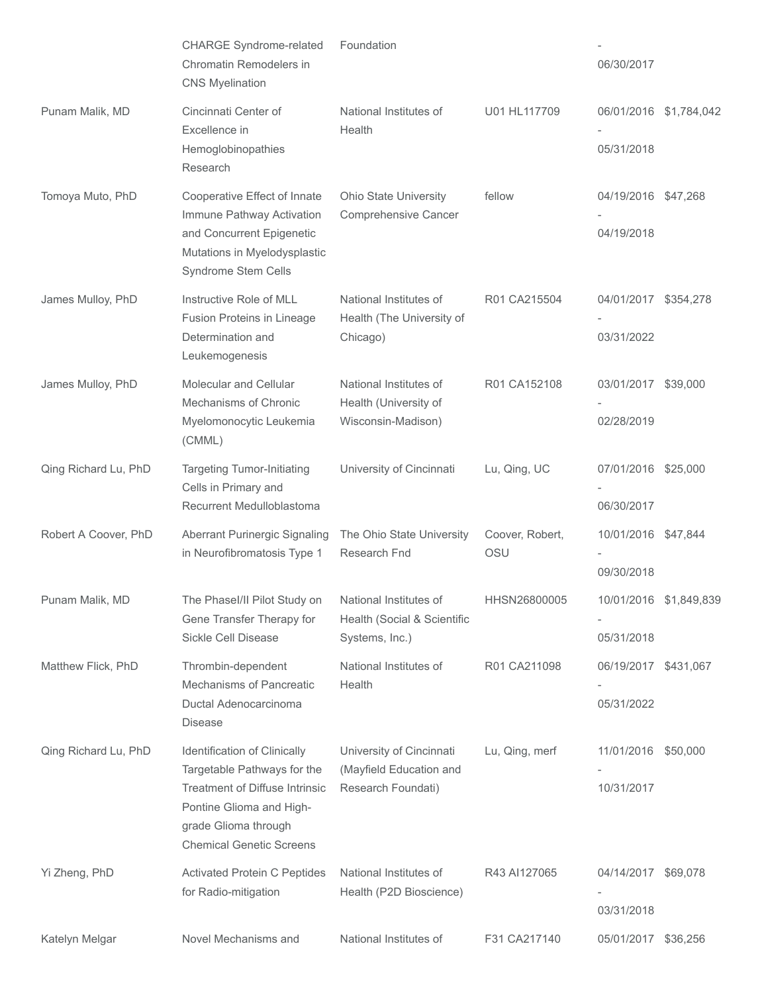|                      | <b>CHARGE Syndrome-related</b><br>Chromatin Remodelers in<br><b>CNS Myelination</b>                                   | Foundation                                                              |                        | 06/30/2017                           |                        |
|----------------------|-----------------------------------------------------------------------------------------------------------------------|-------------------------------------------------------------------------|------------------------|--------------------------------------|------------------------|
| Punam Malik, MD      | Cincinnati Center of<br>Excellence in<br>Hemoglobinopathies                                                           | National Institutes of<br>Health                                        | U01 HL117709           | 05/31/2018                           | 06/01/2016 \$1,784,042 |
|                      | Research                                                                                                              |                                                                         |                        |                                      |                        |
| Tomoya Muto, PhD     | Cooperative Effect of Innate<br>Immune Pathway Activation<br>and Concurrent Epigenetic                                | <b>Ohio State University</b><br>Comprehensive Cancer                    | fellow                 | 04/19/2016 \$47,268<br>04/19/2018    |                        |
|                      | Mutations in Myelodysplastic<br>Syndrome Stem Cells                                                                   |                                                                         |                        |                                      |                        |
| James Mulloy, PhD    | Instructive Role of MLL<br>Fusion Proteins in Lineage                                                                 | National Institutes of<br>Health (The University of                     | R01 CA215504           | 04/01/2017 \$354,278                 |                        |
|                      | Determination and<br>Leukemogenesis                                                                                   | Chicago)                                                                |                        | 03/31/2022                           |                        |
| James Mulloy, PhD    | Molecular and Cellular<br>Mechanisms of Chronic                                                                       | National Institutes of<br>Health (University of                         | R01 CA152108           | 03/01/2017 \$39,000                  |                        |
|                      | Myelomonocytic Leukemia<br>(CMML)                                                                                     | Wisconsin-Madison)                                                      |                        | 02/28/2019                           |                        |
| Qing Richard Lu, PhD | <b>Targeting Tumor-Initiating</b><br>Cells in Primary and<br>Recurrent Medulloblastoma                                | University of Cincinnati                                                | Lu, Qing, UC           | 07/01/2016 \$25,000                  |                        |
|                      |                                                                                                                       |                                                                         |                        | 06/30/2017                           |                        |
| Robert A Coover, PhD | Aberrant Purinergic Signaling<br>in Neurofibromatosis Type 1                                                          | The Ohio State University<br>Research Fnd                               | Coover, Robert,<br>OSU | 10/01/2016 \$47,844                  |                        |
|                      |                                                                                                                       |                                                                         |                        | 09/30/2018                           |                        |
| Punam Malik, MD      | The Phasel/II Pilot Study on<br>Gene Transfer Therapy for<br>Sickle Cell Disease                                      | National Institutes of<br>Health (Social & Scientific<br>Systems, Inc.) | HHSN26800005           | 10/01/2016 \$1,849,839<br>05/31/2018 |                        |
| Matthew Flick, PhD   | Thrombin-dependent                                                                                                    | National Institutes of                                                  | R01 CA211098           | 06/19/2017 \$431,067                 |                        |
|                      | Mechanisms of Pancreatic<br>Ductal Adenocarcinoma<br><b>Disease</b>                                                   | Health                                                                  |                        | 05/31/2022                           |                        |
| Qing Richard Lu, PhD | Identification of Clinically<br>Targetable Pathways for the                                                           | University of Cincinnati<br>(Mayfield Education and                     | Lu, Qing, merf         | 11/01/2016 \$50,000                  |                        |
|                      | Treatment of Diffuse Intrinsic<br>Pontine Glioma and High-<br>grade Glioma through<br><b>Chemical Genetic Screens</b> | Research Foundati)                                                      |                        | 10/31/2017                           |                        |
| Yi Zheng, PhD        | <b>Activated Protein C Peptides</b><br>for Radio-mitigation                                                           | National Institutes of<br>Health (P2D Bioscience)                       | R43 AI127065           | 04/14/2017 \$69,078                  |                        |
|                      |                                                                                                                       |                                                                         |                        | 03/31/2018                           |                        |
| Katelyn Melgar       | Novel Mechanisms and                                                                                                  | National Institutes of                                                  | F31 CA217140           | 05/01/2017                           | \$36,256               |